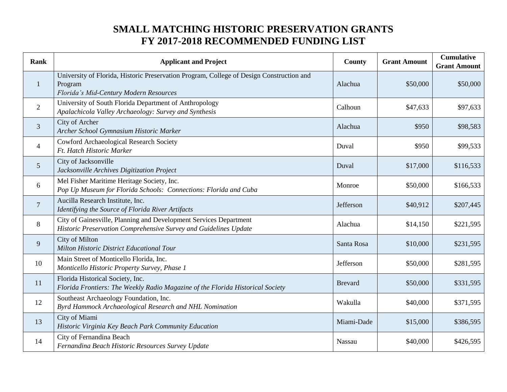## **SMALL MATCHING HISTORIC PRESERVATION GRANTS FY 2017-2018 RECOMMENDED FUNDING LIST**

| <b>Rank</b>    | <b>Applicant and Project</b>                                                                                                                  | County         | <b>Grant Amount</b> | <b>Cumulative</b><br><b>Grant Amount</b> |
|----------------|-----------------------------------------------------------------------------------------------------------------------------------------------|----------------|---------------------|------------------------------------------|
| $\mathbf{1}$   | University of Florida, Historic Preservation Program, College of Design Construction and<br>Program<br>Florida's Mid-Century Modern Resources | Alachua        | \$50,000            | \$50,000                                 |
| $\overline{2}$ | University of South Florida Department of Anthropology<br>Apalachicola Valley Archaeology: Survey and Synthesis                               | Calhoun        | \$47,633            | \$97,633                                 |
| $\overline{3}$ | City of Archer<br>Archer School Gymnasium Historic Marker                                                                                     | Alachua        | \$950               | \$98,583                                 |
| $\overline{4}$ | Cowford Archaeological Research Society<br>Ft. Hatch Historic Marker                                                                          | Duval          | \$950               | \$99,533                                 |
| 5              | City of Jacksonville<br>Jacksonville Archives Digitization Project                                                                            | Duval          | \$17,000            | \$116,533                                |
| 6              | Mel Fisher Maritime Heritage Society, Inc.<br>Pop Up Museum for Florida Schools: Connections: Florida and Cuba                                | Monroe         | \$50,000            | \$166,533                                |
| $\overline{7}$ | Aucilla Research Institute, Inc.<br>Identifying the Source of Florida River Artifacts                                                         | Jefferson      | \$40,912            | \$207,445                                |
| 8              | City of Gainesville, Planning and Development Services Department<br>Historic Preservation Comprehensive Survey and Guidelines Update         | Alachua        | \$14,150            | \$221,595                                |
| 9              | <b>City of Milton</b><br>Milton Historic District Educational Tour                                                                            | Santa Rosa     | \$10,000            | \$231,595                                |
| 10             | Main Street of Monticello Florida, Inc.<br>Monticello Historic Property Survey, Phase 1                                                       | Jefferson      | \$50,000            | \$281,595                                |
| 11             | Florida Historical Society, Inc.<br>Florida Frontiers: The Weekly Radio Magazine of the Florida Historical Society                            | <b>Brevard</b> | \$50,000            | \$331,595                                |
| 12             | Southeast Archaeology Foundation, Inc.<br>Byrd Hammock Archaeological Research and NHL Nomination                                             | Wakulla        | \$40,000            | \$371,595                                |
| 13             | City of Miami<br>Historic Virginia Key Beach Park Community Education                                                                         | Miami-Dade     | \$15,000            | \$386,595                                |
| 14             | City of Fernandina Beach<br>Fernandina Beach Historic Resources Survey Update                                                                 | Nassau         | \$40,000            | \$426,595                                |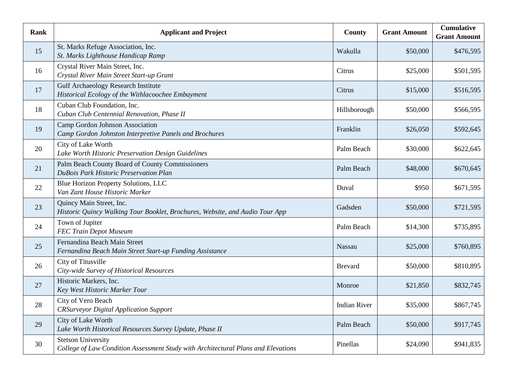| <b>Rank</b> | <b>Applicant and Project</b>                                                                                   | <b>County</b>       | <b>Grant Amount</b> | <b>Cumulative</b><br><b>Grant Amount</b> |
|-------------|----------------------------------------------------------------------------------------------------------------|---------------------|---------------------|------------------------------------------|
| 15          | St. Marks Refuge Association, Inc.<br>St. Marks Lighthouse Handicap Ramp                                       | Wakulla             | \$50,000            | \$476,595                                |
| 16          | Crystal River Main Street, Inc.<br>Crystal River Main Street Start-up Grant                                    | Citrus              | \$25,000            | \$501,595                                |
| 17          | <b>Gulf Archaeology Research Institute</b><br>Historical Ecology of the Withlacoochee Embayment                | Citrus              | \$15,000            | \$516,595                                |
| 18          | Cuban Club Foundation, Inc.<br>Cuban Club Centennial Renovation, Phase II                                      | Hillsborough        | \$50,000            | \$566,595                                |
| 19          | Camp Gordon Johnson Association<br>Camp Gordon Johnston Interpretive Panels and Brochures                      | Franklin            | \$26,050            | \$592,645                                |
| 20          | City of Lake Worth<br>Lake Worth Historic Preservation Design Guidelines                                       | Palm Beach          | \$30,000            | \$622,645                                |
| 21          | Palm Beach County Board of County Commissioners<br><b>DuBois Park Historic Preservation Plan</b>               | Palm Beach          | \$48,000            | \$670,645                                |
| 22          | <b>Blue Horizon Property Solutions, LLC</b><br>Van Zant House Historic Marker                                  | Duval               | \$950               | \$671,595                                |
| 23          | Quincy Main Street, Inc.<br>Historic Quincy Walking Tour Booklet, Brochures, Website, and Audio Tour App       | Gadsden             | \$50,000            | \$721,595                                |
| 24          | Town of Jupiter<br><b>FEC Train Depot Museum</b>                                                               | Palm Beach          | \$14,300            | \$735,895                                |
| 25          | Fernandina Beach Main Street<br>Fernandina Beach Main Street Start-up Funding Assistance                       | Nassau              | \$25,000            | \$760,895                                |
| 26          | City of Titusville<br>City-wide Survey of Historical Resources                                                 | <b>Brevard</b>      | \$50,000            | \$810,895                                |
| 27          | Historic Markers, Inc.<br>Key West Historic Marker Tour                                                        | Monroe              | \$21,850            | \$832,745                                |
| 28          | City of Vero Beach<br><b>CRSurveyor Digital Application Support</b>                                            | <b>Indian River</b> | \$35,000            | \$867,745                                |
| 29          | City of Lake Worth<br>Lake Worth Historical Resources Survey Update, Phase II                                  | Palm Beach          | \$50,000            | \$917,745                                |
| 30          | <b>Stetson University</b><br>College of Law Condition Assessment Study with Architectural Plans and Elevations | Pinellas            | \$24,090            | \$941,835                                |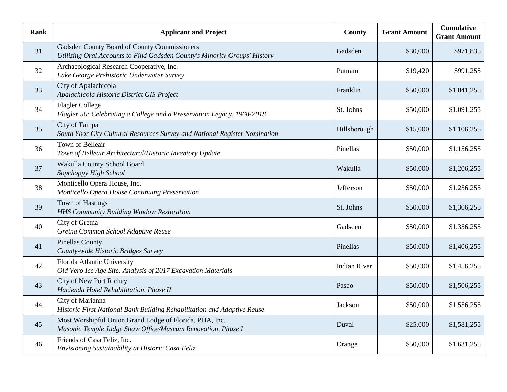| <b>Rank</b> | <b>Applicant and Project</b>                                                                                              | <b>County</b>       | <b>Grant Amount</b> | <b>Cumulative</b><br><b>Grant Amount</b> |
|-------------|---------------------------------------------------------------------------------------------------------------------------|---------------------|---------------------|------------------------------------------|
| 31          | Gadsden County Board of County Commissioners<br>Utilizing Oral Accounts to Find Gadsden County's Minority Groups' History | Gadsden             | \$30,000            | \$971,835                                |
| 32          | Archaeological Research Cooperative, Inc.<br>Lake George Prehistoric Underwater Survey                                    | Putnam              | \$19,420            | \$991,255                                |
| 33          | City of Apalachicola<br>Apalachicola Historic District GIS Project                                                        | Franklin            | \$50,000            | \$1,041,255                              |
| 34          | <b>Flagler College</b><br>Flagler 50: Celebrating a College and a Preservation Legacy, 1968-2018                          | St. Johns           | \$50,000            | \$1,091,255                              |
| 35          | City of Tampa<br>South Ybor City Cultural Resources Survey and National Register Nomination                               | Hillsborough        | \$15,000            | \$1,106,255                              |
| 36          | Town of Belleair<br>Town of Belleair Architectural/Historic Inventory Update                                              | Pinellas            | \$50,000            | \$1,156,255                              |
| 37          | Wakulla County School Board<br>Sopchoppy High School                                                                      | Wakulla             | \$50,000            | \$1,206,255                              |
| 38          | Monticello Opera House, Inc.<br>Monticello Opera House Continuing Preservation                                            | Jefferson           | \$50,000            | \$1,256,255                              |
| 39          | <b>Town of Hastings</b><br>HHS Community Building Window Restoration                                                      | St. Johns           | \$50,000            | \$1,306,255                              |
| 40          | City of Gretna<br>Gretna Common School Adaptive Reuse                                                                     | Gadsden             | \$50,000            | \$1,356,255                              |
| 41          | <b>Pinellas County</b><br>County-wide Historic Bridges Survey                                                             | Pinellas            | \$50,000            | \$1,406,255                              |
| 42          | Florida Atlantic University<br>Old Vero Ice Age Site: Analysis of 2017 Excavation Materials                               | <b>Indian River</b> | \$50,000            | \$1,456,255                              |
| 43          | City of New Port Richey<br>Hacienda Hotel Rehabilitation, Phase II                                                        | Pasco               | \$50,000            | \$1,506,255                              |
| 44          | City of Marianna<br>Historic First National Bank Building Rehabilitation and Adaptive Reuse                               | Jackson             | \$50,000            | \$1,556,255                              |
| 45          | Most Worshipful Union Grand Lodge of Florida, PHA, Inc.<br>Masonic Temple Judge Shaw Office/Museum Renovation, Phase I    | Duval               | \$25,000            | \$1,581,255                              |
| 46          | Friends of Casa Feliz, Inc.<br>Envisioning Sustainability at Historic Casa Feliz                                          | Orange              | \$50,000            | \$1,631,255                              |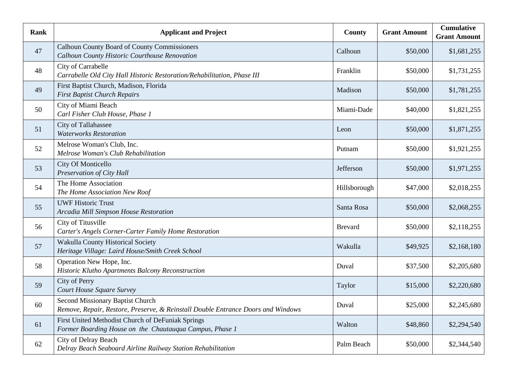| Rank | <b>Applicant and Project</b>                                                                                         | County         | <b>Grant Amount</b> | <b>Cumulative</b><br><b>Grant Amount</b> |
|------|----------------------------------------------------------------------------------------------------------------------|----------------|---------------------|------------------------------------------|
| 47   | Calhoun County Board of County Commissioners<br>Calhoun County Historic Courthouse Renovation                        | Calhoun        | \$50,000            | \$1,681,255                              |
| 48   | City of Carrabelle<br>Carrabelle Old City Hall Historic Restoration/Rehabilitation, Phase III                        | Franklin       | \$50,000            | \$1,731,255                              |
| 49   | First Baptist Church, Madison, Florida<br><b>First Baptist Church Repairs</b>                                        | Madison        | \$50,000            | \$1,781,255                              |
| 50   | City of Miami Beach<br>Carl Fisher Club House, Phase 1                                                               | Miami-Dade     | \$40,000            | \$1,821,255                              |
| 51   | City of Tallahassee<br><b>Waterworks Restoration</b>                                                                 | Leon           | \$50,000            | \$1,871,255                              |
| 52   | Melrose Woman's Club, Inc.<br>Melrose Woman's Club Rehabilitation                                                    | Putnam         | \$50,000            | \$1,921,255                              |
| 53   | City Of Monticello<br>Preservation of City Hall                                                                      | Jefferson      | \$50,000            | \$1,971,255                              |
| 54   | The Home Association<br>The Home Association New Roof                                                                | Hillsborough   | \$47,000            | \$2,018,255                              |
| 55   | <b>UWF Historic Trust</b><br>Arcadia Mill Simpson House Restoration                                                  | Santa Rosa     | \$50,000            | \$2,068,255                              |
| 56   | City of Titusville<br>Carter's Angels Corner-Carter Family Home Restoration                                          | <b>Brevard</b> | \$50,000            | \$2,118,255                              |
| 57   | Wakulla County Historical Society<br>Heritage Village: Laird House/Smith Creek School                                | Wakulla        | \$49,925            | \$2,168,180                              |
| 58   | Operation New Hope, Inc.<br>Historic Klutho Apartments Balcony Reconstruction                                        | Duval          | \$37,500            | \$2,205,680                              |
| 59   | City of Perry<br>Court House Square Survey                                                                           | Taylor         | \$15,000            | \$2,220,680                              |
| 60   | Second Missionary Baptist Church<br>Remove, Repair, Restore, Preserve, & Reinstall Double Entrance Doors and Windows | Duval          | \$25,000            | \$2,245,680                              |
| 61   | First United Methodist Church of DeFuniak Springs<br>Former Boarding House on the Chautauqua Campus, Phase 1         | Walton         | \$48,860            | \$2,294,540                              |
| 62   | City of Delray Beach<br>Delray Beach Seaboard Airline Railway Station Rehabilitation                                 | Palm Beach     | \$50,000            | \$2,344,540                              |